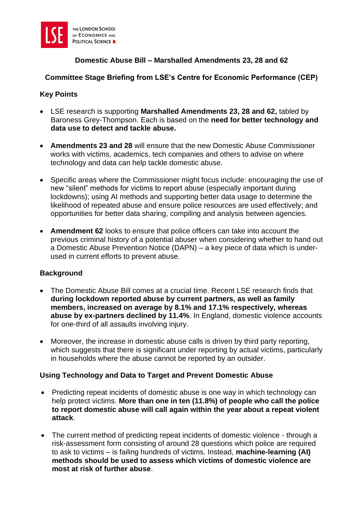

# **Domestic Abuse Bill – Marshalled Amendments 23, 28 and 62**

## **Committee Stage Briefing from LSE's Centre for Economic Performance (CEP)**

### **Key Points**

- LSE research is supporting **Marshalled Amendments 23, 28 and 62,** tabled by Baroness Grey-Thompson. Each is based on the **need for better technology and data use to detect and tackle abuse.**
- **Amendments 23 and 28** will ensure that the new Domestic Abuse Commissioner works with victims, academics, tech companies and others to advise on where technology and data can help tackle domestic abuse.
- Specific areas where the Commissioner might focus include: encouraging the use of new "silent" methods for victims to report abuse (especially important during lockdowns); using AI methods and supporting better data usage to determine the likelihood of repeated abuse and ensure police resources are used effectively; and opportunities for better data sharing, compiling and analysis between agencies.
- **Amendment 62** looks to ensure that police officers can take into account the previous criminal history of a potential abuser when considering whether to hand out a Domestic Abuse Prevention Notice (DAPN) – a key piece of data which is underused in current efforts to prevent abuse.

### **Background**

- The Domestic Abuse Bill comes at a crucial time. Recent LSE research finds that **during lockdown reported abuse by current partners, as well as family members, increased on average by 8.1% and 17.1% respectively, whereas abuse by ex-partners declined by 11.4%**. In England, domestic violence accounts for one-third of all assaults involving injury.
- Moreover, the increase in domestic abuse calls is driven by third party reporting, which suggests that there is significant under reporting by actual victims, particularly in households where the abuse cannot be reported by an outsider.

### **Using Technology and Data to Target and Prevent Domestic Abuse**

- Predicting repeat incidents of domestic abuse is one way in which technology can help protect victims. **More than one in ten (11.8%) of people who call the police to report domestic abuse will call again within the year about a repeat violent attack**.
- The current method of predicting repeat incidents of domestic violence through a risk-assessment form consisting of around 28 questions which police are required to ask to victims – is failing hundreds of victims. Instead, **machine-learning (AI) methods should be used to assess which victims of domestic violence are most at risk of further abuse**.